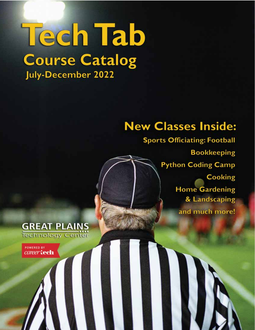# **Tech Tab Course Catalog** July-December 2022

# **New Classes Inside:**

**Sports Officiating: Football Bookkeeping Python Coding Camp Cooking Home Gardening** & Landscaping and much more!

### **GREAT PLAINS** Technology Center

**POWERED BY** career tech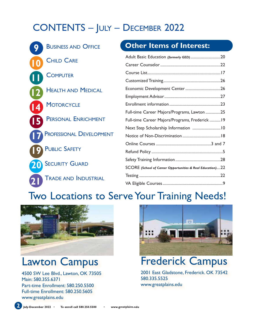# CONTENTS – JULY – DECEMBER 2022

| <b>BUSINESS AND OFFICE</b>      | <b>Other Items of Interest:</b>                           |
|---------------------------------|-----------------------------------------------------------|
| <b>CHILD CARE</b>               | Adult Basic Education (formerly GED)20                    |
|                                 |                                                           |
| COMPUTER                        |                                                           |
| <b>HEALTH AND MEDICAL</b>       |                                                           |
|                                 |                                                           |
| <b>MOTORCYCLE</b>               |                                                           |
|                                 | Full-time Career Majors/Programs, Lawton 25               |
| <b>PERSONAL ENRICHMENT</b>      | Full-time Career Majors/Programs, Frederick  19           |
|                                 |                                                           |
| <b>PROFESSIONAL DEVELOPMENT</b> |                                                           |
|                                 |                                                           |
| <b>PUBLIC SAFETY</b>            |                                                           |
| <b>SECURITY GUARD</b>           |                                                           |
|                                 | SCORE (School of Career Opportunities & Real Education)22 |
| <b>TRADE AND INDUSTRIAL</b>     |                                                           |
|                                 |                                                           |

# Two Locations to Serve Your Training Needs!



## Lawton Campus

4500 SW Lee Blvd., Lawton, OK 73505 Main: 580.355.6371 Part-time Enrollment: 580.250.5500 Full-time Enrollment: 580.250.5605 www.greatplains.edu



Frederick Campus

2001 East Gladstone, Frederick. OK 73542 580.335.5525 www.greatplains.edu

**2 July-December 2022 • To enroll call 580.250.5500 • www.greatplains.edu**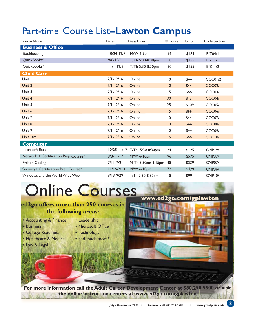| Course Name                          | Dates          | Days/Times                    | # Hours         | Tuition | Code/Section        |
|--------------------------------------|----------------|-------------------------------|-----------------|---------|---------------------|
| <b>Business &amp; Office</b>         |                |                               |                 |         |                     |
| Bookkeeping                          | $10/24 - 12/7$ | M/W 6-9pm                     | 36              | \$189   | <b>BIZ04/1</b>      |
| QuickBooks*                          | $9/6 - 10/6$   | T/Th 5:30-8:30pm              | 30              | \$155   | BIZIII              |
| QuickBooks*                          | $11/1 - 12/8$  | T/Th 5:30-8:30pm              | 30              | \$155   | BIZ11/2             |
| <b>Child Care</b>                    |                |                               |                 |         |                     |
| Unit I                               | $7/1 - 12/16$  | Online                        | 10              | \$44    | <b>CCC01/2</b>      |
| Unit 2                               | $7/1 - 12/16$  | Online                        | 10              | \$44    | <b>CCC02/1</b>      |
| Unit 3                               | $7/1 - 12/16$  | Online                        | 15              | \$66    | <b>CCC03/1</b>      |
| Unit 4                               | $7/1 - 12/16$  | Online                        | 30              | \$131   | <b>CCC04/1</b>      |
| Unit 5                               | $7/1 - 12/16$  | Online                        | 25              | \$109   | CCCO <sub>5/1</sub> |
| Unit 6                               | $7/1 - 12/16$  | Online                        | 15              | \$66    | <b>CCC06/1</b>      |
| Unit 7                               | $7/1 - 12/16$  | Online                        | 10              | \$44    | <b>CCC07/1</b>      |
| Unit 8                               | $7/1 - 12/16$  | Online                        | 10              | \$44    | <b>CCC08/1</b>      |
| Unit 9                               | $7/1 - 12/16$  | Online                        | $\overline{10}$ | \$44    | <b>CCC09/1</b>      |
| Unit $10*$                           | $7/1 - 12/16$  | Online                        | 15              | \$66    | <b>CCC10/1</b>      |
| <b>Computer</b>                      |                |                               |                 |         |                     |
| Microsoft Excel                      |                | 10/25-11/17 T/Th- 5:30-8:30pm | 24              | \$125   | <b>CMP19/1</b>      |
| Network + Certification Prep Course* | $8/8 - 11/17$  | M/W 6-10pm                    | 96              | \$575   | <b>CMP37/1</b>      |
| <b>Python Coding</b>                 | $7/11 - 7/21$  | M-Th 8:30am-3:15pm            | 48              | \$239   | <b>CMP07/1</b>      |
| Security+ Certification Prep Course* | $11/16 - 2/13$ | M/W 6-10pm                    | 72              | \$479   | <b>CMP36/1</b>      |
| Windows and the World Wide Web       | $9/13 - 9/29$  | T/Th 5:30-8:30pm              | 18              | \$99    | CMP10/1             |

# Online Courses

### **ed2go offers more than 250 courses in the following areas:**

• Accounting & Finance

• College Readiness • Healthcare & Medical

• Business

• Law & Legal

- Leadership • Microsoft Office
- Technology
- and much more!



**www.ed2go.com/gplawton www.ed2go.com/gplawton** 

**For more information call the Adult Career Development Center at 580.250.5500 or visit the online instruction centers at: www.ed2go.com/gplawton**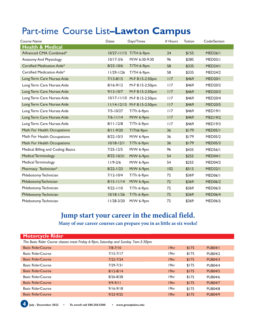| <b>Course Name</b>                 | Dates          | Days/Times                  | # Hours | Tuition | Code/Section   |
|------------------------------------|----------------|-----------------------------|---------|---------|----------------|
| <b>Health &amp; Medical</b>        |                |                             |         |         |                |
| Advanced CMA Combined*             |                | 10/27-11/15 T/TH 6-9pm      | 24      | \$155   | <b>MED26/1</b> |
| Anatomy And Physiology             | $10/17 - 3/6$  | M/W 6:30-9:30               | 96      | \$385   | MED03/I        |
| Certified Medication Aide*         | $8/23 - 10/6$  | T/TH 6-9pm                  | 58      | \$335   | MED24/I        |
| Certified Medication Aide*         | $11/29 - 1/26$ | T/TH 6-9pm                  | 58      | \$335   | <b>MED24/2</b> |
| Long Term Care Nurses Aide         | $7/13 - 8/15$  | M-F 8:15-2:50pm             | 117     | \$469   | <b>MED20/1</b> |
| Long Term Care Nurses Aide         | $8/16 - 9/12$  | M-F 8:15-2:50pm             | 117     | \$469   | <b>MED20/2</b> |
| Long Term Care Nurses Aide         | $9/13 - 10/7$  | M-F 8:15-2:50pm             | 117     | \$469   | <b>MED20/3</b> |
| Long Term Care Nurses Aide         |                | 10/17-11/10 M-F 8:15-2:50pm | 117     | \$469   | <b>MED20/4</b> |
| Long Term Care Nurses Aide         |                | 11/14-12/15 M-F 8:15-2:50pm | 117     | \$469   | <b>MED20/5</b> |
| Long Term Care Nurses Aide         | $7/5 - 10/27$  | T/Th 6-9pm                  | 117     | \$469   | <b>MED19/1</b> |
| Long Term Care Nurses Aide         | $7/6 - 11/14$  | M/W 6-9pm                   | 117     | \$469   | MED19/2        |
| Long Term Care Nurses Aide         | $8/11 - 12/8$  | T/Th 6-9pm                  | 117     | \$469   | MED19/3        |
| Math For Health Occupations        | 8/11-9/20      | T/Th6-9pm                   | 36      | \$179   | MED05/I        |
| Math For Health Occupations        | $8/22 - 10/3$  | M/W 6-9pm                   | 36      | \$179   | <b>MED05/2</b> |
| Math For Health Occupations        | $10/18 - 12/1$ | T/Th 6-9pm                  | 36      | \$179   | <b>MED05/3</b> |
| Medical Billing and Coding: Basics | $7/25 - 12/5$  | M/W 6-9pm                   | 96      | \$435   | MED56/I        |
| <b>Medical Terminology</b>         | $8/22 - 10/31$ | M/W 6-9pm                   | 54      | \$255   | MED04/I        |
| Medical Terminology                | $11/9 - 2/6$   | M/W 6-9pm                   | 54      | \$255   | <b>MED04/2</b> |
| Pharmacy Technician*               | $8/22 - 1/23$  | M/W 6-9pm                   | 102     | \$515   | <b>MED32/1</b> |
| Phlebotomy Technician              | $7/12 - 10/4$  | T/Th 6-9pm                  | 72      | \$369   | MED06/I        |
| <b>PhlebotomyTechnician</b>        | $8/15 - 11/14$ | M/W 6-9pm                   | 72      | \$369   | <b>MED06/2</b> |
| Phlebotomy Technician              | $9/22 - 1/10$  | $T/Th$ 6-9pm                | 72      | \$369   | <b>MED06/3</b> |
| Phlebotomy Technician              | $10/18 - 1/26$ | T/Th 6-9pm                  | 72      | \$369   | <b>MED06/4</b> |
| Phlebotomy Technician              | 11/28-3/20     | M/W 6-9pm                   | 72      | \$369   | <b>MED06/5</b> |

# **Jump start your career in the medical field.**

**Many of our career courses can prepare you in as little as six weeks!**

| <b>Motorcycle Rider</b>                                                          |               |                  |       |                |  |
|----------------------------------------------------------------------------------|---------------|------------------|-------|----------------|--|
| The Basic Rider Course classes meet Friday 6-9pm, Saturday and Sunday 7am-3:30pm |               |                  |       |                |  |
| <b>Basic RiderCourse</b>                                                         | $7/8 - 7/10$  | 19 <sub>hr</sub> | \$175 | <b>PUB04/1</b> |  |
| <b>Basic RiderCourse</b>                                                         | $7/15 - 7/17$ | 19 <sub>hr</sub> | \$175 | <b>PUB04/2</b> |  |
| <b>Basic RiderCourse</b>                                                         | $7/22 - 7/24$ | 19 <sub>hr</sub> | \$175 | <b>PUB04/3</b> |  |
| <b>Basic RiderCourse</b>                                                         | $7/29 - 7/31$ | 19 <sub>hr</sub> | \$175 | <b>PUB04/4</b> |  |
| <b>Basic RiderCourse</b>                                                         | $8/12 - 8/14$ | 19 <sub>hr</sub> | \$175 | <b>PUB04/5</b> |  |
| <b>Basic RiderCourse</b>                                                         | $8/26 - 8/28$ | 19 <sub>hr</sub> | \$175 | <b>PUB04/6</b> |  |
| <b>Basic RiderCourse</b>                                                         | $9/9 - 9/11$  | 19 <sub>hr</sub> | \$175 | <b>PUB04/7</b> |  |
| <b>Basic RiderCourse</b>                                                         | $9/16 - 9/18$ | 19hr             | \$175 | <b>PUB04/8</b> |  |
| <b>Basic RiderCourse</b>                                                         | $9/23 - 9/25$ | 19 <sub>hr</sub> | \$175 | <b>PUB04/9</b> |  |

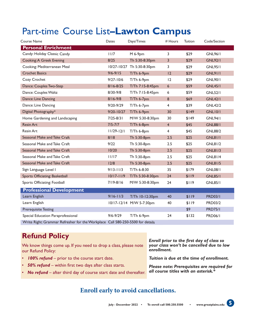| <b>Course Name</b>                                                             | Dates          | Days/Times                 | # Hours        | Tuition | Code/Section   |
|--------------------------------------------------------------------------------|----------------|----------------------------|----------------|---------|----------------|
| <b>Personal Enrichment</b>                                                     |                |                            |                |         |                |
| Candy: Holiday Classic Candy                                                   | 11/7           | M 6-9pm                    | 3              | \$29    | <b>GNL96/1</b> |
| <b>Cooking: A Greek Evening</b>                                                | 8/25           | Th 5:30-8:30pm             | $\overline{3}$ | \$29    | <b>GNL92/1</b> |
| Cooking: Mediterranean Meal                                                    |                | 10/27-10/27 Th 5:30-8:30pm | 3              | \$29    | <b>GNL95/1</b> |
| <b>Crochet Basics</b>                                                          | $9/6 - 9/15$   | T/Th 6-9pm                 | 12             | \$29    | <b>GNL91/1</b> |
| Cozy Crochet                                                                   | $9/27 - 10/6$  | T/Th 6-9pm                 | 12             | \$29    | <b>GNL90/1</b> |
| Dance: Couples Two-Step                                                        | $8/16 - 8/25$  | T/Th 7:15-8:45pm           | 6              | \$59    | <b>GNL45/1</b> |
| Dance: Couples Waltz                                                           | 8/30-9/8       | T/Th 7:15-8:45pm           | 6              | \$59    | <b>GNL52/1</b> |
| Dance: Line Dancing                                                            | $8/16 - 9/8$   | T/Th 6-7pm                 | 8              | \$69    | <b>GNL42/1</b> |
| Dance: Line Dancing                                                            | $9/20 - 9/29$  | T/Th 6-7pm                 | 4              | \$39    | <b>GNL42/2</b> |
| Digital Photography*                                                           | $9/20 - 10/27$ | T/Th 6-9pm                 | 30             | \$149   | <b>GNL10/1</b> |
| Home Gardening and Landscaping                                                 | $7/25 - 8/31$  | M/W 5:30-8:30pm            | 30             | \$149   | <b>GNL94/1</b> |
| <b>Resin Art</b>                                                               | $7/5 - 7/7$    | T/Th 6-8pm                 | $\overline{4}$ | \$45    | <b>GNL88/1</b> |
| <b>Resin Art</b>                                                               | $11/29 - 12/1$ | T/Th 6-8pm                 | $\overline{4}$ | \$45    | <b>GNL88/2</b> |
| Seasonal Make and Take Craft                                                   | 8/18           | Th 5:30-8pm                | 2.5            | \$25    | <b>GNL81/1</b> |
| Seasonal Make and Take Craft                                                   | 9/22           | Th 5:30-8pm                | 2.5            | \$25    | <b>GNL81/2</b> |
| Seasonal Make and Take Craft                                                   | 10/20          | Th 5:30-8pm                | 2.5            | \$25    | <b>GNL81/3</b> |
| Seasonal Make and Take Craft                                                   | 11/17          | Th 5:30-8pm                | 2.5            | \$25    | <b>GNL81/4</b> |
| Seasonal Make and Take Craft                                                   | 12/8           | Th 5:30-8pm                | 2.5            | \$25    | <b>GNL81/5</b> |
| Sign Language Level I                                                          | $9/13 - 11/3$  | T/Th 6-8:30                | 35             | \$179   | <b>GNL08/1</b> |
| Sports Officiating: Basketball                                                 | $10/17 - 11/9$ | T/Th 5:30-8:30pm           | 24             | \$119   | <b>GNL85/1</b> |
| Sports Officiating: Football                                                   | $7/19 - 8/16$  | M/W 5:30-8:30pm            | 24             | \$119   | <b>GNL85/1</b> |
| <b>Professional Development</b>                                                |                |                            |                |         |                |
| Learn English                                                                  | $9/16 - 11/3$  | T/Th 10-12:30pm            | 40             | \$119   | <b>PRD03/1</b> |
| Learn English                                                                  |                | 10/17-12/14 M/W 5-7:30pm   | 40             | \$119   | <b>PRD03/2</b> |
| <b>Prerequisite Testing</b>                                                    |                |                            |                | \$9     | <b>PRD75/1</b> |
| Special Education Paraprofessional                                             | $9/6 - 9/29$   | T/Th 6-9pm                 | 24             | \$132   | <b>PRD06/1</b> |
| Write Right: Grammar Refresher for the Workplace Call 580-250-5500 for details |                |                            |                |         |                |

### **Refund Policy**

We know things come up. If you need to drop a class, please note our Refund Policy:

- *100% refund*  prior to the course start date.
- **50% refund** within first two days after class starts.
- *No refund*  after third day of course start date and thereafter.

*Enroll prior to the first day of class so your class won't be cancelled due to low enrollment.* 

*Tuition is due at the time of enrollment.* 

*Please note: Prerequisites are required for all course titles with an asterisk.\**

### **Enroll early to avoid cancellations.**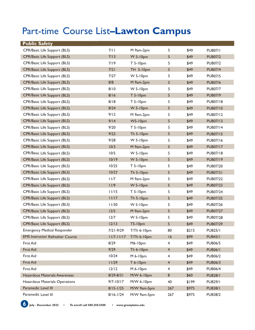| <b>Public Safety</b>                   |                |                  |                         |       |                 |
|----------------------------------------|----------------|------------------|-------------------------|-------|-----------------|
| CPR/Basic Life Support (BLS)           | 7/11           | M 9am-2pm        | 5                       | \$49  | <b>PUB07/1</b>  |
| CPR/Basic Life Support (BLS)           | 7/13           | $W$ 5-10pm       | 5                       | \$49  | <b>PUB07/2</b>  |
| CPR/Basic Life Support (BLS)           | 7/19           | $T 5-10pm$       | 5                       | \$49  | <b>PUB07/2</b>  |
| <b>CPR/Basic Life Support (BLS)</b>    | 7/21           | <b>TH 5-10pm</b> | 5                       | \$49  | <b>PUB07/4</b>  |
| CPR/Basic Life Support (BLS)           | 7/27           | W 5-10pm         | 5                       | \$49  | <b>PUB07/5</b>  |
| CPR/Basic Life Support (BLS)           | 8/8            | M 9am-2pm        | 5                       | \$49  | <b>PUB07/6</b>  |
| CPR/Basic Life Support (BLS)           | 8/10           | $W$ 5-10pm       | 5                       | \$49  | <b>PUB07/7</b>  |
| CPR/Basic Life Support (BLS)           | 8/16           | T 5-10pm         | 5                       | \$49  | <b>PUB07/9</b>  |
| CPR/Basic Life Support (BLS)           | 8/18           | $T 5-10pm$       | 5                       | \$49  | <b>PUB07/18</b> |
| CPR/Basic Life Support (BLS)           | 8/24           | $W$ 5-10pm       | 5                       | \$49  | <b>PUB07/10</b> |
| CPR/Basic Life Support (BLS)           | 9/12           | M 9am-2pm        | 5                       | \$49  | <b>PUB07/12</b> |
| <b>CPR/Basic Life Support (BLS)</b>    | 9/14           | W5-10pm          | 5                       | \$49  | <b>PUB07/13</b> |
| CPR/Basic Life Support (BLS)           | 9/20           | $T 5-10pm$       | 5                       | \$49  | <b>PUB07/14</b> |
| <b>CPR/Basic Life Support (BLS)</b>    | 9/22           | <b>Th 5-10pm</b> | 5                       | \$49  | <b>PUB07/15</b> |
| CPR/Basic Life Support (BLS)           | 9/28           | W 5-10pm         | 5                       | \$49  | PUB07/16        |
| CPR/Basic Life Support (BLS)           | 10/3           | M 9am-2pm        | 5                       | \$49  | <b>PUB07/17</b> |
| CPR/Basic Life Support (BLS)           | 10/5           | W 5-10pm         | 5                       | \$49  | PUB07/18        |
| CPR/Basic Life Support (BLS)           | 10/19          | $W$ 5-10pm       | 5                       | \$49  | <b>PUB07/19</b> |
| CPR/Basic Life Support (BLS)           | 10/25          | T 5-10pm         | 5                       | \$49  | <b>PUB07/20</b> |
| CPR/Basic Life Support (BLS)           | 10/27          | Th $5-10$ pm     | 5                       | \$49  | <b>PUB07/21</b> |
| CPR/Basic Life Support (BLS)           | 11/7           | M 9am-2pm        | 5                       | \$49  | <b>PUB07/22</b> |
| CPR/Basic Life Support (BLS)           | 11/9           | <b>W 5-10pm</b>  | 5                       | \$49  | <b>PUB07/23</b> |
| CPR/Basic Life Support (BLS)           | 11/15          | $T 5-10pm$       | 5                       | \$49  | <b>PUB07/24</b> |
| <b>CPR/Basic Life Support (BLS)</b>    | 11/17          | Th 5-10pm        | 5                       | \$49  | <b>PUB07/25</b> |
| CPR/Basic Life Support (BLS)           | 11/30          | W 5-10pm         | 5                       | \$49  | <b>PUB07/26</b> |
| CPR/Basic Life Support (BLS)           | 12/5           | M 9am-2pm        | 5                       | \$49  | <b>PUB07/27</b> |
| CPR/Basic Life Support (BLS)           | 12/7           | W 5-10pm         | 5                       | \$49  | <b>PUB07/28</b> |
| CPR/Basic Life Support (BLS)           | 12/13          | <b>T5-10pm</b>   | 5                       | \$49  | <b>PUB07/29</b> |
| <b>Emergency Medical Responder</b>     | $7/21 - 9/29$  | T/Th 6-10pm      | 80                      | \$215 | <b>PUB25/1</b>  |
| <b>EMS Instructor Refresher Course</b> | $11/7 - 11/17$ | T/Th 6-10pm      | 16                      | \$99  | <b>PUB43/1</b>  |
| First Aid                              | 8/29           | M6-10pm          | $\overline{4}$          | \$49  | <b>PUB06/5</b>  |
| First Aid                              | 9/29           | Th 6-10pm        | $\overline{4}$          | \$49  | <b>PUB06/1</b>  |
| First Aid                              | 10/24          | M 6-10pm         | 4                       | \$49  | <b>PUB06/2</b>  |
| First Aid                              | 11/29          | T 6-10pm         | $\overline{4}$          | \$49  | <b>PUB06/3</b>  |
| First Aid                              | $12/12$        | M 6-10pm         | $\overline{\mathbf{4}}$ | \$49  | <b>PUB06/4</b>  |
| Hazardous Materials Awareness          | 8/29-8/31      | M/W 6-10pm       | 8                       | \$60  | <b>PUB28/1</b>  |
| Hazardous Materials Operations         | $9/7 - 10/17$  | M/W 6-10pm       | 40                      | \$199 | <b>PUB29/1</b>  |
| Paramedic Level III                    | $8/15 - 1/25$  | M/W 9am-5pm      | 267                     | \$975 | <b>PUB38/1</b>  |
| Paramedic Level III                    | $8/16 - 1/24$  | M/W 9am-5pm      | 267                     | \$975 | <b>PUB38/2</b>  |

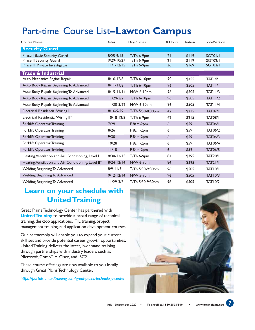| Course Name                                          | Dates          | Days/Times       | $#$ Hours | Tuition | Code/Section   |
|------------------------------------------------------|----------------|------------------|-----------|---------|----------------|
| <b>Security Guard</b>                                |                |                  |           |         |                |
| Phase I Basic Security Guard                         | $8/25 - 9/15$  | T/Th 6-9pm       | 21        | \$119   | <b>SGT01/1</b> |
| Phase II Security Guard                              | $9/29 - 10/27$ | T/Th 6-9pm       | 21        | \$119   | <b>SGT02/1</b> |
| Phase III Private Investigator                       | $11/1 - 12/15$ | T/Th 6-9pm       | 36        | \$169   | <b>SGT03/1</b> |
| <b>Trade &amp; Industrial</b>                        |                |                  |           |         |                |
| Auto Mechanics Engine Repair                         | $8/16 - 12/8$  | T/Th 6-10pm      | 90        | \$455   | TATI4/I        |
| Auto Body Repair Beginning To Advanced               | $8/11 - 11/8$  | T/Th 6-10pm      | 96        | \$505   | TAT I I/I      |
| Auto Body Repair Beginning To Advanced               | $8/15 - 11/14$ | $M/W$ 6-10pm     | 96        | \$505   | <b>TAT11/3</b> |
| Auto Body Repair Beginning To Advanced               | $11/29-3/2$    | T/Th 6-10pm      | 96        | \$505   | <b>TAT11/2</b> |
| Auto Body Repair Beginning To Advanced               | $11/30-3/22$   | M/W 6-10pm       | 96        | \$505   | <b>TAT11/4</b> |
| <b>Electrical Residential Wiring I</b>               | $8/16 - 9/29$  | T/Th 5:30-8:30pm | 42        | \$215   | <b>TAT07/1</b> |
| Electrical Residential Wiring II*                    | $10/18 - 12/8$ | T/Th 6-9pm       | 42        | \$215   | <b>TAT08/I</b> |
| <b>Forklift Operator Training</b>                    | 7/29           | F 8am-2pm        | 6         | \$59    | <b>TAT06/1</b> |
| Forklift Operator Training                           | 8/26           | F 8am-2pm        | 6         | \$59    | <b>TAT06/2</b> |
| Forklift Operator Training                           | 9/30           | F 8am-2pm        | 6         | \$59    | <b>TAT06/3</b> |
| Forklift Operator Training                           | 10/28          | F 8am-2pm        | 6         | \$59    | <b>TAT06/4</b> |
| Forklift Operator Training                           | 11/18          | F 8am-2pm        | 6         | \$59    | <b>TAT06/5</b> |
| Heating, Ventilation and Air Conditioning, Level I   | $8/30 - 12/15$ | $T/Th$ 6-9pm     | 84        | \$395   | <b>TAT20/1</b> |
| Heating, Ventilation and Air Conditioning, Level II* | $8/24 - 12/14$ | M/W 6-9pm        | 84        | \$395   | <b>TAT21/1</b> |
| Welding Beginning To Advanced                        | $8/9 - 11/3$   | T/Th 5:30-9:30pm | 96        | \$505   | <b>TAT10/1</b> |
| Welding Beginning To Advanced                        | $9/12 - 12/14$ | M/W 5-9pm        | 96        | \$505   | <b>TAT10/3</b> |
| Welding Beginning To Advanced                        | $11/29-3/2$    | T/Th 5:30-9:30pm | 96        | \$505   | <b>TAT10/2</b> |

### **Learn on your schedule with United Training**

Great Plains Technology Center has partnered with **United Training** to provide a broad range of technical training, desktop applications, ITIL training, project management training, and application development courses.

Our partnership will enable you to expand your current skill set and provide potential career growth opportunities. United Training delivers the latest, in-demand training through partnerships with industry leaders such as Microsoft, CompTIA, Cisco, and ISC2.

These course offerings are now available to you locally through Great Plains Technology Center.

*https://portals.unitedtraining.com/great-plains-technology-center*

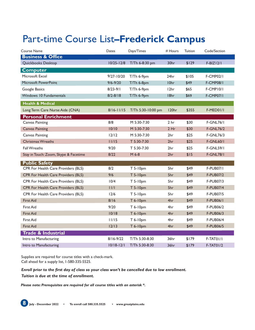# Part-time Course List**–Frederick Campus**

| Course Name                           | Dates          | Days/Times         | # Hours           | Tuition | Code/Section     |
|---------------------------------------|----------------|--------------------|-------------------|---------|------------------|
| <b>Business &amp; Office</b>          |                |                    |                   |         |                  |
| Quickbooks Desktop                    | $10/25 - 12/8$ | T/Th 6-8:30 pm     | 30hr              | \$129   | $F-BIZ12/1$      |
| <b>Computer</b>                       |                |                    |                   |         |                  |
| Microsoft Excel                       | $9/27 - 10/20$ | T/Th 6-9pm         | 24hr              | \$105   | <b>F-CMP02/1</b> |
| Microsoft PowerPoint                  | $9/6 - 9/20$   | T/Th 6-8pm         | I0hr              | \$49    | <b>F-CMP08/1</b> |
| Google Basics                         | $8/23 - 9/1$   | T/Th 6-9pm         | 12hr              | \$65    | F-CMP10/1        |
| <b>Windows 10 Fundamentals</b>        | $8/2 - 8/18$   | T/Th 6-9pm         | 18hr              | \$69    | F-CMP07/I        |
| <b>Health &amp; Medical</b>           |                |                    |                   |         |                  |
| Long Term Care Nurse Aide (CNA)       | $8/16 - 11/15$ | T/Th 5:30-10:00 pm | 120 <sub>hr</sub> | \$355   | F-MED01/1        |
| <b>Personal Enrichment</b>            |                |                    |                   |         |                  |
| Canvas Painting                       | 8/8            | M 5:30-7:30        | 2 <sub>hr</sub>   | \$30    | <b>F-GNL76/1</b> |
| <b>Canvas Painting</b>                | 10/10          | M 5:30-7:30        | 2 Hr              | \$30    | <b>F-GNL76/2</b> |
| <b>Canvas Painting</b>                | 12/12          | M 5:30-7:30        | 2hr               | \$25    | <b>F-GNL76/3</b> |
| <b>Christmas Wreaths</b>              | 11/15          | T 5:30-7:30        | 2hr               | \$25    | <b>F-GNL60/1</b> |
| <b>Fall Wreaths</b>                   | 9/20           | T 5:30-7:30        | 2hr               | \$25    | <b>F-GNL59/1</b> |
| Stay in Touch: Zoom, Skype & Facetime | 8/22           | M 6-8              | 2 <sub>hr</sub>   | \$15    | <b>F-GNL78/1</b> |
| <b>Public Safety</b>                  |                |                    |                   |         |                  |
| CPR For Health Care Providers (BLS)   | 8/2            | T 5-10pm           | 5hr               | \$49    | <b>F-PUB07/I</b> |
| CPR For Health Care Providers (BLS)   | 9/6            | T 5-10pm           | 5hr               | \$49    | <b>F-PUB07/2</b> |
| CPR For Health Care Providers (BLS)   | 10/4           | T 5-10pm           | 5hr               | \$49    | <b>F-PUB07/3</b> |
| CPR For Health Care Providers (BLS)   | 11/1           | T 5-10pm           | 5hr               | \$49    | <b>F-PUB07/4</b> |
| CPR For Health Care Providers (BLS)   | 12/6           | T 5-10pm           | 5hr               | \$49    | <b>F-PUB07/5</b> |
| <b>First Aid</b>                      | 8/16           | T 6-10pm           | 4hr               | \$49    | <b>F-PUB06/1</b> |
| First Aid                             | 9/20           | T 6-10pm           | 4hr               | \$49    | <b>F-PUB06/2</b> |
| <b>First Aid</b>                      | 10/18          | T 6-10pm           | 4hr               | \$49    | <b>F-PUB06/3</b> |
| First Aid                             | 11/15          | T 6-10pm           | 4hr               | \$49    | <b>F-PUB06/4</b> |
| <b>First Aid</b>                      | $12/13$        | T 6-10pm           | 4hr               | \$49    | <b>F-PUB06/5</b> |
| <b>Trade &amp; Industrial</b>         |                |                    |                   |         |                  |
| Intro to Manufacturing                | $8/16 - 9/22$  | T/Th 5:30-8:30     | 36hr              | \$179   | $F-TATO1/I$      |
| Intro to Manufacturing                | $10/18 - 12/1$ | T/Th 5:30-8:30     | 36hr              | \$179   | $F-TAT01/2$      |

Supplies are required for course titles with a check-mark. Call ahead for a supply list, 1-580-335-5525.

*Enroll prior to the first day of class so your class won't be cancelled due to low enrollment.* 

*Tuition is due at the time of enrollment.*

*Please note: Prerequisites are required for all course titles with an asterisk \*.*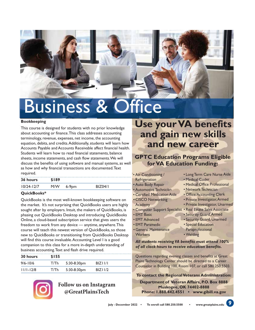

# Business & Office

### **Bookkeeping**

This course is designed for students with no prior knowledge about accounting or finance. This class addresses accounting terminology, revenue, expenses, net income, the accounting equation, debits, and credits. Additionally, students will learn how Accounts Payable and Accounts Receivable affect financial health. Students will learn how to read financial statements, balance sheets, income statements, and cash flow statements. We will discuss the benefits of using software and manual systems, as well as how and why financial transactions are documented. Text required.

| 36 hours       | \$189 |          |         |
|----------------|-------|----------|---------|
| $10/24 - 12/7$ | M/W   | $6-9$ pm | BIZ04/I |

### **QuickBooks\***

QuickBooks is the most well-known bookkeeping software on the market. It's not surprising that QuickBooks users are highly sought after by employers. Intuit, the makers of QuickBooks, is phasing out QuickBooks Desktop and introducing QuickBooks Online, a cloud-based subscription service that gives users the freedom to work from any device — anytime, anywhere. This course will teach this newest version of QuickBooks, so those new to QuickBooks or transitioning from QuickBooks Desktop will find this course invaluable. Accounting Level I is a good companion to this class for a more in-depth understanding of business accounting. Text and flash drive required.

| 30 hours      | \$155 |                |          |  |
|---------------|-------|----------------|----------|--|
| $9/6 - 10/6$  | T/Th  | $5:30-8:30$ pm | BIZIII/I |  |
| $11/1 - 12/8$ | T/Th  | $5:30-8:30$ pm | BIZ11/2  |  |



### **Follow us on Instagram @GreatPlainsTech**

## **Use your VA benefits and gain new skills and new career**

### **GPTC Education Programs Eligible for VA Education Funding:**

- Air Conditioning / **Refrigeration**
- 
- Auto Body Repair • Automotive Technician
- 
- Certified Medication Aide
- CISCO Networking Academy
- 
- EMT Basic
- 
- EMT Advanced • EMT Paramedic
- General Maintenance
- Long Term Care Nurse Aide • Medical Coder
- Medical Office Professional
- Network Technician
- Office/Accounting Clerk
- Private Investigator, Armed
- Private Investigator, Unarmed
- Computer Support Specialist Real Estate Sales Associate
	- Security Guard, Armed
	- Security Guard, Unarmed
	- Special Education Paraprofessional
- **Workers** 
	- Welding

*All students receiving VA benefits must attend 100% of all clock hours to receive education benefits.*

Questions regarding evening classes and benefits at Great Plains Technology Center should be directed to a Career Counselor in Building 100, Room 107, or call 580.250.5503.

### **To contact the Regional Veterans Administration:**

**Department of Veteran Affairs, P.O. Box 8888 Muskogee, OK 74402-8888 Phone: 1.888.442.4551 • www.gibill.va.gov**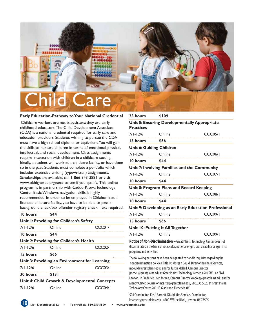

#### **Early Education-Pathway to Your National Credential**

 Childcare workers are not babysitters; they are early childhood educators. The Child Development Associate (CDA) is a national credential required for early care and education providers. Students wishing to pursue the CDA must have a high school diploma or equivalent. You will gain the skills to nurture children in terms of emotional, physical, intellectual, and social development. Class assignments require interaction with children in a childcare setting. Ideally, a student will work at a childcare facility, or have done so in the past. Students must complete a portfolio which includes extensive writing (typewritten) assignments. Scholarships are available, call 1-866-343-3881 or visit www.okhighered.org/secc to see if you qualify. This online program is in partnership with Caddo-Kiowa Technology Center. Basic Windows navigation skills is highly recommended. In order to be employed in Oklahoma at a licensed childcare facility, you have to be able to pass a background check/sex offender registry check. Text required.

| 10 hours        | \$44                                          |                                               |
|-----------------|-----------------------------------------------|-----------------------------------------------|
|                 | Unit 1: Providing for Children's Safety       |                                               |
| $7/1 - 12/6$    | Online                                        | CCC01/I                                       |
| 10 hours        | \$44                                          |                                               |
|                 | Unit 2: Providing for Children's Health       |                                               |
| $7/1 - 12/6$    | Online                                        | CCCO <sub>2</sub> /I                          |
| 15 hours        | \$66                                          |                                               |
|                 | Unit 3: Providing an Environment for Learning |                                               |
| $7/1 - 12/6$    | Online                                        | CCCO3/I                                       |
| <b>30 hours</b> | \$131                                         |                                               |
|                 |                                               | Unit 4: Child Growth & Developmental Concepts |
| $7/1 - 12/6$    | Online                                        | CCCO4/I                                       |
|                 |                                               |                                               |

### **25 hours \$109**

| <b>Practices</b> | Unit 5: Ensuring Developmentally Appropriate |                                                       |
|------------------|----------------------------------------------|-------------------------------------------------------|
| $7/1 - 12/6$     | Online                                       | CCCO <sub>5/1</sub>                                   |
| 15 hours         | \$66                                         |                                                       |
|                  | <b>Unit 6: Guiding Children</b>              |                                                       |
| $7/1 - 12/6$     | Online                                       | CCCO6/I                                               |
| 10 hours         | \$44                                         |                                                       |
|                  | Unit 7: Involving Families and the Community |                                                       |
| $7/1 - 12/6$     | Online                                       | CCCO7/I                                               |
| 10 hours         | \$44                                         |                                                       |
|                  | Unit 8: Program Plans and Record Keeping     |                                                       |
| $7/1 - 12/6$     | Online                                       | <b>CCC08/1</b>                                        |
| 10 hours         | \$44                                         |                                                       |
|                  |                                              | Unit 9: Developing as an Early Education Professional |
| $7/1 - 12/6$     | Online                                       | <b>CCC09/I</b>                                        |
| 15 hours         | \$66                                         |                                                       |
|                  | Unit 10: Putting It All Together             |                                                       |

#### 7/1-12/6 Online CCC09/1

**Notice of Non-Discrimination –** Great Plains Technology Center does not discriminate on the basis of race, color, national origin, sex, disability or age in its programs and activities.

The following persons have been designated to handle inquiries regarding the nondiscrimination policies: Title IX: Morgan Gould, Director Business Services, mgould@greatplains.edu; and/or Justin McNeil, Campus Director jmcneil@greatplains.edu at Great Plains Technology Center, 4500 SW. Lee Blvd., Lawton. In Frederick: Ken McKee, Campus Director kmckee@greatplains.edu and/or Mandy Carter, Counselor mcarter@greatplains.edu, 580.335.5525 at Great Plains Technology Center, 2001 E. Gladstone, Frederick, OK.

504 Coordinator: Kristi Barnett, Disabilities Services Coordinator, kbarnett@greatplains.edu., 4500 SW Lee Blvd., Lawton, OK 73505

**10 July - December 2022 • To enroll call 580.250.5500 • www.greatplains.edu**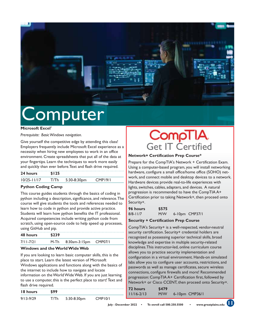

# Computer

#### **Microsoft Excel\***

*Prerequisite: Basic Windows navigation.* 

Give yourself the competitive edge by attending this class! Employers frequently include Microsoft Excel experience as a necessity when hiring new employees to work in an office environment. Create spreadsheets that put all of the data at your fingertips. Learn the techniques to work more easily and quickly than ever before.Text and flash drive required.

| 24 hours        | \$125 |             |                     |
|-----------------|-------|-------------|---------------------|
| $10/25 - 11/17$ | T/Th  | 5:30-8:30pm | CMP <sub>19/1</sub> |

### **Python Coding Camp**

This course guides students through the basics of coding in python including a description, significance, and relevance. The course will give students the tools and references needed to learn how to code in python and provide active practice. Students will learn how python benefits the IT professional. Acquired competencies include writing python code from scratch, using open-source code to help speed up processes, using GitHub and pip.

| 48 hours      | \$239 |               |         |
|---------------|-------|---------------|---------|
| $7/11 - 7/21$ | M-Th  | 8:30am-3:15pm | CMP07/1 |
|               |       |               |         |

### **Windows and the World Wide Web**

If you are looking to learn basic computer skills, this is the place to start. Learn the latest version of Microsoft Windows applications and functions along with the basics of the internet to include how to navigate and locate information on the World Wide Web. If you are just learning to use a computer, this is the perfect place to start! Text and flash drive required.

| <b>18 hours</b> | \$99 |             |                      |
|-----------------|------|-------------|----------------------|
| $9/13 - 9/29$   | T/Th | 5:30-8:30pm | CMP <sub>10</sub> /1 |

## **CompTIA** Get IT Certified

### **Network+ Certification Prep Course\***

Prepare for the CompTIA's Network + Certification Exam. Using a computer-based program, you will install networking hardware, configure a small office/home office (SOHO) network, and connect mobile and desktop devices to a network. Hardware devices provide real-to-life experiences with lights, switches, cables, adapters, and devices. A natural progression is recommended to have the CompTIA A+ Certification prior to taking Network+, then proceed onto Security+.

| 96 hours     | \$575 |                |
|--------------|-------|----------------|
| $8/8 - 11/7$ | M/W   | 6-10pm CMP37/1 |

### **Security + Certification Prep Course**

CompTIA's Security+ is a well-respected, vendor-neutral security certification. Security+ credential holders are recognized as possessing superior technical skills, broad knowledge and expertise in multiple security-related disciplines. This instructor-led, online curriculum course allows you to practice security implementation and configuration in a virtual environment. Hands-on simulated labs allow you to configure user accounts, restrictions, and passwords as well as manage certificates, secure wireless connections, configure firewalls and more! Recommended progression: CompTIA A+ Certification first, followed by Network+ or Cisco CCENT, then proceed onto Security+.

| 72 hours       | \$479 |                     |
|----------------|-------|---------------------|
| $11/16 - 2/13$ | M/W   | $6 - 10$ pm CMP36/1 |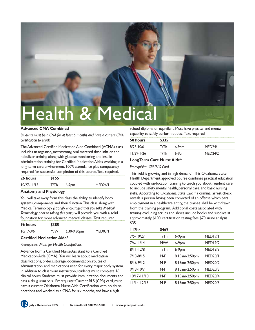

**Advanced CMA Combined** 

*Students must be a CNA for at least 6 months and have a current CMA certification to enroll.* 

The Advanced Certified Medication Aide Combined (ACMA) class includes nasogastric, gastrostomy, oral metered dose inhaler and nebulizer training along with glucose monitoring and insulin administration training for Certified Medication Aides working in a long-term care environment. 100% attendance plus competency required for successful completion of this course. Text required.

| 26 hours        | \$155 |          |                      |  |
|-----------------|-------|----------|----------------------|--|
| $10/27 - 11/15$ | T/Th  | $6-9$ pm | MED <sub>26</sub> /I |  |

### **Anatomy and Physiology**

You will take away from this class the ability to identify body systems, components and their function. This class along with Medical Terminology *(strongly encouraged that you take Medical Terminology prior to taking this class)* will provide you with a solid foundation for more advanced medical classes. Text required.

| 96 hours      | \$385 |             |         |
|---------------|-------|-------------|---------|
| $10/17 - 3/6$ | M/W   | 6:30-9:30pm | MED03/I |

#### **Certified Medication Aide\***

#### *Prerequisite: Math for Health Occupations.*

Advance from a Certified Nurse Assistant to a Certified Medication Aide (CMA). You will learn about medication classifications, orders, storage, documentation, routes of administration, and medications used for every major body system. In addition to classroom instruction, students must complete 16 clinical hours. Students must provide immunization documents and pass a drug urinalysis. Prerequisite: Current BLS (CPR) card, must have a current Oklahoma Nurse Aide Certification with no abuse notations and worked as a CNA for six months, and have a high

school diploma or equivilent. Must have physical and mental capability to safely perform duties. Text required.

| 58 hours         | \$335 |         |                      |
|------------------|-------|---------|----------------------|
| $8/23 - 10/6$    | T/Th  | $6-9pm$ | MED <sub>24</sub> /I |
| $11/29 - 1 - 26$ | T/Th  | $6-9pm$ | <b>MED24/2</b>       |

#### **Long Term Care Nurse Aide\***

#### *Prerequisite: CPR/BLS Card.*

This field is growing and in high demand! This Oklahoma State Health Department approved course combines practical education coupled with on-location training to teach you about resident care to include safety, mental health, personal care, and basic nursing skills. According to Oklahoma State Law, if a criminal arrest check reveals a person having been convicted of an offense which bars employment in a healthcare entity, the trainee shall be withdrawn from the training program. Additional costs associated with training excluding scrubs and shoes include books and supplies at approximately \$100, certification testing fees \$70, urine analysis \$35.

| \$469 |               |                     |
|-------|---------------|---------------------|
| T/Th  | $6-9$ pm      | MED <sub>19/1</sub> |
| M/W   | $6-9$ pm      | <b>MED19/2</b>      |
| T/Th  | $6-9$ pm      | <b>MED19/3</b>      |
| $M-F$ | 8:15am-2:50pm | <b>MED20/I</b>      |
| $M-F$ | 8:15am-2:50pm | <b>MED20/2</b>      |
| $M-F$ | 8:15am-2:50pm | <b>MED20/3</b>      |
| $M-F$ | 8:15am-2:50pm | <b>MED20/4</b>      |
| $M-F$ | 8:15am-2:50pm | <b>MED20/5</b>      |
|       |               |                     |

**12 July - December 2022 • To enroll call 580.250.5500 • www.greatplains.edu**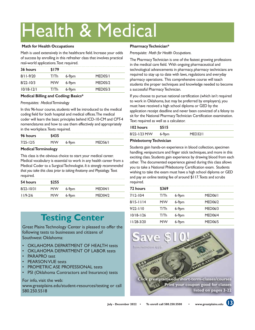# Health & Medical

### **Math for Health Occupations**

Math is used extensively in the healthcare field. Increase your odds of success by enrolling in this refresher class that involves practical real-world applications. Text required.

| 36 hours       | \$179 |          |                      |
|----------------|-------|----------|----------------------|
| $8/11 - 9/20$  | T/Th  | $6-9$ pm | MED <sub>05</sub> /I |
| $8/22 - 10/3$  | M/W   | $6-9pm$  | <b>MED05/2</b>       |
| $10/18 - 12/1$ | T/Th  | $6-9pm$  | <b>MED05/3</b>       |

### **Medical Billing and Codiing: Basics\***

*Prerequisites: Medical Terminology* 

In this 96-hour course, students will be introduced to the medical coding field for both hospital and medical offices. The medical coder will learn the basic principles behind ICD-10-CM and CPT-4 nomenclatures and how to use them effectively and appropriately in the workplace. Texts required.

| 96 hours      | \$435 |       |                      |
|---------------|-------|-------|----------------------|
| $7/25 - 12/5$ | M/W   | 6-9pm | MED <sub>56</sub> /I |

### **Medical Terminology**

This class is the obvious choice to start your medical career. Medical vocabulary is essential to work in any health career from a Medical Coder to a Surgical Technologist. *It is strongly recommended that you take this class prior to taking Anatomy and Physiology.* Text required.

| 54 hours       | \$255 |          |                      |
|----------------|-------|----------|----------------------|
| $8/22 - 10/31$ | M/W   | $6-9pm$  | MED <sub>04</sub> /I |
| $11/9 - 2/6$   | M/W   | $6-9$ pm | MFD04/2              |

## **Testing Center**

Great Plains Technology Center is pleased to offer the following tests to businesses and citizens of Southwest Oklahoma:

- OKLAHOMA DEPARTMENT OF HEALTH tests
- OKLAHOMA DEPARTMENT OF LABOR tests
- PARAPRO test
- PEARSON VUE tests
- PROMETRIC ASE PROFESSIONAL tests
- PSI (Oklahoma Contractors and Insurance) tests

### For info, visit the web:

www.greatplains.edu/student-resources/testing or call 580.250.5518

### **Pharmacy Technician\***

*Prerequisite: Math for Health Occupations.* 

The Pharmacy Technician is one of the fastest growing professions in the medical care field. With ongoing pharmaceutical and technological advancements in pharmacy, pharmacy technicians are required to stay up to date with laws, regulations and everyday pharmacy operations. This comprehensive course will teach students the proper techniques and knowledge needed to become a successful Pharmacy Technician.

If you choose to pursue national certification (which isn't required to work in Oklahoma, but may be preferred by employers), you must have received a high school diploma or GED by the application receipt deadline and never been convicted of a felony to sit for the National Pharmacy Technician Certification examination. Text required as well as a calculator.

| 102 hours     | \$515   |         |
|---------------|---------|---------|
| 8/22-1/23 M/W | $6-9DM$ | MED32/I |

### **Phlebotomy Technician**

Students gain hands-on experience in blood collection, specimen handling, venipuncture and finger stick techniques, and more in this exciting class. Students gain experience by drawing blood from each other. The documented experience gained during this class allows you to take a National Phlebotomy Certification exam. Students wishing to take the exam must have a high school diploma or GED and pay an online testing fee of around \$117. Texts and scrubs required.

| 72 hours       | \$369 |         |                      |
|----------------|-------|---------|----------------------|
| $7/12 - 10/4$  | T/Th  | $6-9pm$ | MED <sub>06</sub> /I |
| $8/15 - 11/14$ | M/W   | $6-9pm$ | <b>MED06/2</b>       |
| $9/22 - 1/10$  | T/Th  | $6-9pm$ | <b>MED06/3</b>       |
| $10/18 - 1/26$ | T/Th  | $6-9pm$ | <b>MED06/4</b>       |
| 11/28-3/20     | M/W   | $6-9pm$ | <b>MED06/5</b>       |

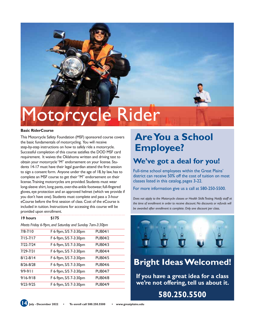

# **1otorcycle Rider**

### **Basic RiderCourse**

This Motorcycle Safety Foundation (MSF) sponsored course covers the basic fundamentals of motorcycling. You will receive step-by-step instructions on how to safely ride a motorcycle. Successful completion of this course satisfies the DOD MSF card requirement. It waives the Oklahoma written and driving test to obtain your motorcycle "M" endorsement on your license. Students 14-17 must have their legal guardian attend the first session to sign a consent form. Anyone under the age of 18, by law, has to complete an MSF course to get their "M" endorsement on their license. Training motorcycles are provided. Students must wear long-sleeve shirt, long pants, over-the-ankle footwear, full-fingered gloves, eye protection and an approved helmet (which we provide if you don't have one). Students must complete and pass a 3-hour eCourse before the first session of class. Cost of the eCourse is included in tuition. Instructions for accessing this course will be provided upon enrollment.

### **19 hours \$175**

*Meets Friday 6-9pm, and Saturday and Sunday 7am-3:30pm*

| $7/8 - 7/10$  | F 6-9pm, S/S 7-3:30pm | <b>PUB04/1</b> |
|---------------|-----------------------|----------------|
| $7/15 - 7/17$ | F 6-9pm, S/S 7-3:30pm | <b>PUB04/2</b> |
| $7/22 - 7/24$ | F 6-9pm, S/S 7-3:30pm | <b>PUB04/3</b> |
| $7/29 - 7/31$ | F 6-9pm, S/S 7-3:30pm | <b>PUB04/4</b> |
| $8/12 - 8/14$ | F 6-9pm, S/S 7-3:30pm | <b>PUB04/5</b> |
| $8/26 - 8/28$ | F 6-9pm, S/S 7-3:30pm | <b>PUB04/6</b> |
| $9/9 - 9/11$  | F 6-9pm, S/S 7-3:30pm | <b>PUB04/7</b> |
| $9/16 - 9/18$ | F 6-9pm, S/S 7-3:30pm | <b>PUB04/8</b> |
| $9/23 - 9/25$ | F 6-9pm, S/S 7-3:30pm | <b>PUB04/9</b> |
|               |                       |                |

## **Are You a School Employee?**

### **We've got a deal for you!**

Full-time school employees within the Great Plains' district can receive 50% off the cost of tuition on most classes listed in this catalog, pages 3-22.

For more information give us a call at 580-250-5500.

*Does not apply to the Motorcycle classes or Health Skills Testing. Notify staff at*  the time of enrollment in order to receive discount. No discounts or refunds will *be awarded after enrollment is complete. Only one discount per class.*



### **Bright Ideas Welcomed!**

**If you have a great idea for a class we're not offering, tell us about it.** 

### **580.250.5500**

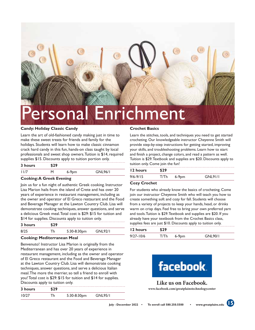

#### **Candy: Holiday Classic Candy**

Learn the art of old-fashioned candy making just in time to make these sweet treats for friends and family for the holidays. Students will learn how to make classic cinnamon crack hard candy in this fun, hands-on class taught by local professionals and sweet shop owners. Tuition is \$14, required supplies \$15. Discounts apply to tuition portion only.

| 3 hours | \$29 |          |                |
|---------|------|----------|----------------|
| 11/7    | м    | $6-9$ pm | <b>GNL96/1</b> |

### **Cooking: A Greek Evening**

Join us for a fun night of authentic Greek cooking. Instructor Lisa Marion hails from the island of Crete and has over 20 years of experience in restaurant management, including as the owner and operator of El Greco restaurant and the Food and Beverage Manager at the Lawton Country Club. Lisa will demonstrate cooking techniques, answer questions, and serve a delicious Greek meal. Total cost is \$29: \$15 for tuition and \$14 for supplies. Discounts apply to tuition only.

| 3 hours | \$29 |             |                |
|---------|------|-------------|----------------|
| 8/25    | Th   | 5:30-8:30pm | <b>GNL92/1</b> |

#### **Cooking: Mediterranean Meal**

Benvenuto! Instructor Lisa Marion is originally from the Mediterranean and has over 20 years of experience in restaurant management, including as the owner and operator of El Greco restaurant and the Food and Beverage Manager at the Lawton Country Club. Lisa will demonstrate cooking techniques, answer questions, and serve a delicious Italian meal. The more the merrier, so tell a friend to enroll with you! Total cost is \$29: \$15 for tuition and \$14 for supplies. Discounts apply to tuition only.

| 3 hours | \$29 |             |                |
|---------|------|-------------|----------------|
| 10/27   | Th   | 5:30-8:30pm | <b>GNL95/1</b> |

#### **Crochet Basics**

Learn the stitches, tools, and techniques you need to get started crocheting. Our knowledgeable instructor Cheyenne Smith will provide step-by-step instructions for getting started, improving your skills, and troubleshooting problems. Learn how to start and finish a project, change colors, and read a pattern as well. Tuition is \$29. Textbook and supplies are \$20. Discounts apply to tuition only. Come join the fun!

| 12 hours | \$29 |         |          |
|----------|------|---------|----------|
| 9/6-9/15 |      | $6-9pm$ | GNI 91/I |

### **Cozy Crochet**

For students who already know the basics of crocheting. Come join our instructor Cheyenne Smith who will teach you how to create something soft and cozy for fall. Students will choose from a variety of projects to keep your hands, head, or drinks warm on crisp days. Feel free to bring your own preferred yarn and tools. Tuition is \$29. Textbook and supplies are \$20. If you already have your textbook from the Crochet Basics class, supplies fees are just \$10. Discounts apply to tuition only.

| 12 hours      | \$29 |         |          |  |
|---------------|------|---------|----------|--|
| $9/27 - 10/6$ |      | $6-9pm$ | GNI 90/1 |  |



### **Like us on Facebook.**

**www.facebook.com/greatplainstechnologycenter**

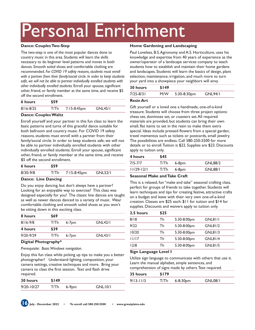# Personal Enrichment

### **Dance: Couples Two-Step**

The two-step is one of the most popular dances done to country music in this area. Students will learn the skills necessary to do beginner level patterns and moves in both dances. Smooth soled shoes and comfortable clothing are recommended. *For COVID 19 safety reasons, students must enroll with a partner from their family/social circle. In order to keep students safe, we will not be able to partner individually enrolled students with other individually enrolled students.* Enroll your spouse, significant other, friend, or family member at the same time, and receive \$5 off the second enrollment.

| 6 hours       | \$59 |             |                |
|---------------|------|-------------|----------------|
| $8/16 - 8/25$ | T/Th | 7:15-8:45pm | <b>GNL45/1</b> |

### **Dance: Couples Waltz**

Enroll yourself and your partner in this fun class to learn the basic patterns and turns of this graceful dance suitable for both ballroom and country music. For COVID 19 safety reasons, students must enroll with a partner from their family/social circle. In order to keep students safe, we will not be able to partner individually enrolled students with other individually enrolled students. Enroll your spouse, significant other, friend, or family member at the same time, and receive \$5 off the second enrollment.

| 6 hours  | \$59 |             |                |
|----------|------|-------------|----------------|
| 8/30-9/8 | T/Th | 7:15-8:45pm | <b>GNL52/1</b> |

### **Dance: Line Dancing**

Do you enjoy dancing, but don't always have a partner? Looking for an enjoyable way to exercise? This class was designed especially for you! The classic line dances are taught as well as newer dances danced to a variety of music. Wear comfortable clothing and smooth soled shoes as you won't be sitting down in this exciting class.

| 8 hours       | \$69 |           |                |  |
|---------------|------|-----------|----------------|--|
| $8/16 - 9/8$  | T/Th | $6 - 7pm$ | <b>GNL42/1</b> |  |
| 4 hours       | \$39 |           |                |  |
| $9/20 - 9/29$ | T/Th | $6 - 7pm$ | GNL43/1        |  |

### **Digital Photography\***

*Prerequisite: Basic Windows navigation.* 

Enjoy this fun class while picking up tips to make you a better photographer! Understand lighting, composition, your camera settings, creative techniques and more. Bring your camera to class the first session. Text and flash drive required.

| 30 hours       | \$149 |          |         |
|----------------|-------|----------|---------|
| $9/20 - 10/27$ | T/Th  | $6-9$ pm | GNL10/1 |

### **Home Gardening and Landscaping**

Paul Loveless, B.S. Agronomy and A.S. Horticulture, uses his knowledge and expertise from 40 years of experience as the owner/operator of a landscape services company to teach students how to establish and maintain their home gardens and landscapes. Students will learn the basics of design, plant selection, maintenance, irrigation, and much more to turn your yard into a showpiece your neighbors will envy.

| <b>30 hours</b> | \$149 |                |                |
|-----------------|-------|----------------|----------------|
| 7/25-8/31       | M/W   | $5:30-8:30$ pm | <b>GNL94/1</b> |

### **Resin Art**

Gift yourself or a loved one a handmade, one-of-a-kind treasure. Students will choose from three project options: chess set, dominoes set, or coasters set. All required materials are provided, but students can bring their own small, flat items to set in the resin to make them extra special. Ideas include pressed flowers from a special garden, travel mementos such as tickets or postcards, small jewelry. The possibilities are endless. Call 580-250-5500 for more details or to enroll. Tuition is \$22. Supplies are \$23. Discounts apply to tuition only.

| 4 hours        | \$45         |       |                |
|----------------|--------------|-------|----------------|
| $7/5 - 7/7$    | $T/Th$ 6-8pm |       | <b>GNL88/2</b> |
| $11/29 - 12/1$ | T/Th         | 6-8pm | <b>GNL88/1</b> |

### **Seasonal Make and Take Craft**

This is a relaxed, fun "make and take" seasonal crafting class, perfect for groups of friends to take together. Students will learn techniques and tips for creating festive, attractive crafts on a budget and leave with their very own one-of-a-kind creation. Classes are \$25 each: \$11 for tuition and \$14 for supplies. Discounts and waivers apply to tuition only.

| 2.5 hours | \$25 |             |                |
|-----------|------|-------------|----------------|
| 8/18      | Тh   | 5:30-8:00pm | <b>GNL81/1</b> |
| 9/22      | Th   | 5:30-8:00pm | <b>GNL81/2</b> |
| 10/20     | Th   | 5:30-8:00pm | <b>GNL81/3</b> |
| 11/17     | Th   | 5:30-8:00pm | <b>GNL81/4</b> |
| 12/8      | Гh   | 5:30-8:00pm | <b>GNL81/5</b> |

#### **Sign Language Level I**

Utilize sign language to communicate with others that use it. Learn the manual alphabet, simple sentences, and comprehension of signs made by others. Text required.

| 35 hours  | \$179 |              |            |
|-----------|-------|--------------|------------|
| 9/13-11/3 | T/Th  | $6 - 8:30pm$ | $GNI$ 08/1 |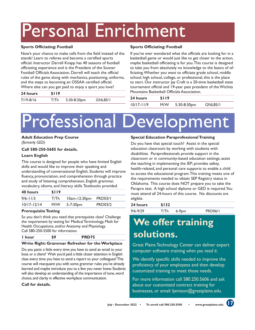# Personal Enrichment

### **Sports Officiating: Football**

Now's your chance to make calls from the field instead of the stands! Learn to referee and become a certified sports official. Instructor Darrell Knapp has 40 seasons of football officiating experience and is the President of the Sooner Football Officials Association. Darrell will teach the official rules of the game along with mechanics, positioning, uniforms, and the steps to becoming an OSSAA certified official. Where else can you get paid to enjoy a sport you love?

| 24 hours      | \$119 |                |  |                |  |
|---------------|-------|----------------|--|----------------|--|
| $7/19 - 8/16$ | €/Th  | $5:30-8:30$ pm |  | <b>GNL85/1</b> |  |

### **Sports Officiating: Football**

If you've ever wondered what the officials are looking for in a basketball game or would just like to get closer to the action, maybe basketball officiating is for you. This course is designed to take you from absolutely no knowledge to the basics of officiating. Whether you want to officiate grade school, middle school, high school, college, or professional, this is the place to start. Our instructor Jay Craft is a 20-time basketball state tournament official and 19-year past president of the Wichita Mountains Basketball Officials Association.

| 24 hours       | <b>SII9</b> |                |                |
|----------------|-------------|----------------|----------------|
| $10/17 - 11/9$ | M/W         | $5:30-8:30$ pm | <b>GNL85/1</b> |

# Professional Development

**Adult Education Prep Course**  *(formerly GED)*

### **Call 580-250-5685 for details.**

### **Learn English**

This course is designed for people who have limited English skills and would like to improve their speaking and understanding of conversational English. Students will improve fluency, pronunciation, and comprehension through practice and study of listening comprehension, English grammar, vocabulary, idioms, and literacy skills. Textbooks provided.

| 40 hours        | \$119 |                      |                |  |
|-----------------|-------|----------------------|----------------|--|
| $9/6 - 11/3$    | T/Th  | 10am-12:30pm PRD03/1 |                |  |
| $10/17 - 12/14$ | M/W   | 5-7:30 <sub>pm</sub> | <b>PRD03/2</b> |  |

### **Prerequisite Testing**

So you don't think you need that prerequisite class? Challenge the requirement by testing for Medical Terminology, Math for Health Occupations, and/or Anatomy and Physiology. Call 580-250-5500 for information.

| l hour | <b>PRD75</b> |
|--------|--------------|
|        |              |

### **Write Right: Grammar Refresher for the Workplace**

Do you panic a little every time you have to send an email to your boss or a client? Wish you'd paid a little closer attention in English class every time you have to send a report to your colleagues? This course will reacquaint you with some grammar rules you've already learned and maybe introduce you to a few you never knew. Students will also develop an understanding of the importance of tone, word choice, and clarity in effective workplace communication.

### **Call for details.**

### **Special Education Paraprofessional Training**

Do you have that special touch? Assist in the special education classroom by working with students with disabilities. Paraprofessionals provide support in the classroom or in community-based education settings; assist the teaching in implementing the IEP; provides safety, health-related, and personal care supports to enable a child to access the educational program. This training meets one of the requirements needed to obtain SEP Registry status in Oklahoma. This course does NOT prepare you to take the Parapro test. A high school diploma or GED is required. You must attend all 24-hours of this course. No discounts are eligible.

| 24 hours     | \$132 |         |                |
|--------------|-------|---------|----------------|
| $9/6 - 9/29$ | T/Th  | $6-9pm$ | <b>PRD06/1</b> |

## **We offer training solutions.**

Great Plains Technology Center can deliver expert computer software training *when you need it*.

We identify specific skills needed to improve the proficiency of your employees and then develop customized training to meet those needs.

For more information call 580.250.5606 and ask about our customized contract training for businesses, or email: ljamison@greatplains.edu.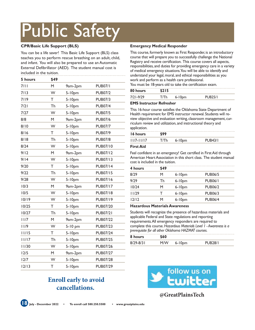# Public Safety

### **CPR/Basic Life Support (BLS)**

You can be a life saver! This Basic Life Support (BLS) class teaches you to perform rescue breathing on an adult, child, and infant. You will also be prepared to use an Automatic External Defibrillator (AED). The student manual cost is included in the tuition.

| 5 hours | \$49 |             |                 |
|---------|------|-------------|-----------------|
| 7/II    | М    | 9am-2pm     | <b>PUB07/1</b>  |
| 7/13    | W    | $5 - 10$ pm | <b>PUB07/2</b>  |
| 7/19    | T    | $5 - 10$ pm | <b>PUB07/3</b>  |
| 7/21    | Th   | 5-10pm      | <b>PUB07/4</b>  |
| 7/27    | W    | $5 - 10$ pm | <b>PUB07/5</b>  |
| 8/8     | M    | 9am-2pm     | <b>PUB07/6</b>  |
| 8/10    | W    | $5 - 10$ pm | <b>PUB07/7</b>  |
| 8/16    | Τ    | $5 - 10$ pm | <b>PUB07/9</b>  |
| 8/18    | Th   | 5-10pm      | <b>PUB07/8</b>  |
| 8/24    | W    | $5 - 10$ pm | <b>PUB07/10</b> |
| 9/12    | M    | 9am-2pm     | <b>PUB07/12</b> |
| 9/14    | W    | $5 - 10$ pm | <b>PUB07/13</b> |
| 9/20    | T    | $5 - 10$ pm | <b>PUB07/14</b> |
| 9/22    | Th   | $5 - 10$ pm | <b>PUB07/15</b> |
| 9/28    | W    | 5-10pm      | <b>PUB07/16</b> |
| 10/3    | M    | 9am-2pm     | <b>PUB07/17</b> |
| 10/5    | W    | $5 - 10$ pm | <b>PUB07/18</b> |
| 10/19   | W    | $5 - 10$ pm | <b>PUB07/19</b> |
| 10/25   | т    | 5-10pm      | <b>PUB07/20</b> |
| 10/27   | Th   | $5 - 10$ pm | <b>PUB07/21</b> |
| 11/7    | M    | 9am-2pm     | <b>PUB07/22</b> |
| 11/9    | W    | $5-10$ pm   | <b>PUB07/23</b> |
| 11/15   | Τ    | 5-10pm      | <b>PUB07/24</b> |
| 11/17   | Th   | $5 - 10$ pm | <b>PUB07/25</b> |
| 11/30   | W    | $5 - 10$ pm | <b>PUB07/26</b> |
| 12/5    | M    | 9am-2pm     | <b>PUB07/27</b> |
| 12/7    | W    | 5-10pm      | <b>PUB07/28</b> |
| 12/13   | T    | $5 - 10$ pm | <b>PUB07/29</b> |

### **Emergency Medical Responder**

This course, formerly known as First Responder, is an introductory course that will prepare you to successfully challenge the National Registry and receive certification. This course covers all aspects, responsibilities, and duties for providing emergency care in a variety of medical emergency situations. You will be able to identify and understand your legal, moral, and ethical responsibilities as you work and perform as a health care professional.

You must be 18-years old to take the certification exam.

| 80 hours  |   |                    |        |
|-----------|---|--------------------|--------|
| 7/71-9/79 | . | 6-10 <sub>pm</sub> | רסו ום |

### **EMS Instructor Refresher**

This 16-hour course satisfies the Oklahoma State Department of Health requirement for EMS instructor renewal. Students will review objective and evaluation writing, classroom management, curriculum review and utilization, and instructional theory and application.

| --             |                    |         |  |
|----------------|--------------------|---------|--|
| 16 hours       |                    |         |  |
| $11/7 - 11/17$ | 6-10 <sub>pm</sub> | PLIR43/ |  |
|                |                    |         |  |

### **First Aid**

Feel confident in an emergency! Get certified in First Aid through American Heart Association in this short class. The student manual cost is included in the tuition.

| 4 hours | \$49 |             |                |
|---------|------|-------------|----------------|
| 8/29    | м    | $6 - 10$ pm | <b>PUB06/5</b> |
| 9/29    | l h  | $6 - 10$ pm | <b>PUB06/1</b> |
| 10/24   | м    | $6 - 10$ pm | <b>PUB06/2</b> |
| 11/29   |      | $6 - 10$ pm | <b>PUB06/3</b> |
| 12/12   | м    | $6 - 10$ pm | <b>PUB06/4</b> |

### **Hazardous Materials Awareness**

Students will recognize the presence of hazardous materials and applicable Federal and State regulations and reporting requirements. All emergency responders are required to complete this course. *Hazardous Materials Level 1 - Awareness is a prerequisite for all other Oklahoma HAZMAT courses.*

| 8 hours       | 560 |            |                       |  |
|---------------|-----|------------|-----------------------|--|
| $8/29 - 8/31$ | M/W | $6 - 10pm$ | PLIR <sub>28</sub> /1 |  |

### **Enroll early to avoid cancellations.**



**@GreatPlainsTech**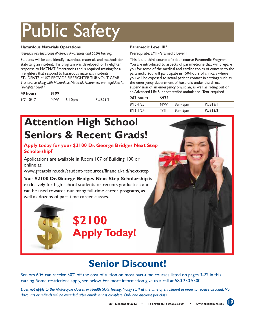# Public Safety

### **Hazardous Materials Operations**

*Prerequisite: Hazardous Materials Awareness and SCBA Training.* 

Students will be able identify hazardous materials and methods for stabilizing an incident. This program was developed for Firefighter response to HAZMAT Emergencies and is required training for all firefighters that respond to hazardous materials incidents. STUDENTS MUST PROVIDE FIREFIGHTER TURNOUT GEAR.

*This course, along with Hazardous Materials Awareness are requisites for Firefighter Level I.* 

| 40 hours      | \$199 |             |                |
|---------------|-------|-------------|----------------|
| $9/7 - 10/17$ | M/W   | $6 - 10$ pm | <b>PUR29/1</b> |

### **Paramedic Level III\***

Prerequisite: EMT-Paramedic Level II.

This is the third course of a four course Paramedic Program. You are introduced to aspects of paramedicine that will prepare you for some of the medical and cardiac topics of concern to the paramedic. You will participate in 150-hours of clinicals where you will be exposed to actual patient contact in settings such as the emergency department of hospitals under the direct supervision of an emergency physician, as well as riding out on an Advanced Life Support staffed ambulance. Text required.

| 267 hours     | \$975 |         |                |
|---------------|-------|---------|----------------|
| $8/15 - 1/25$ | M/W   | 9am-5pm | <b>PUB13/1</b> |
| $8/16 - 1/24$ | T/Th  | 9am-5pm | <b>PUB13/2</b> |

# **Attention High School Seniors & Recent Grads!**

### **Apply today for your \$2100 Dr. George Bridges Next Step Scholarship!**\*

Applications are available in Room 107 of Building 100 or online at:

www.greatplains.edu/student-resources/financial-aid/next-step

Your **\$2100 Dr. George Bridges Next Step Scholarship** is exclusively for high school students or recents graduates,\* and can be used towards our many full-time career programs, as well as dozens of part-time career classes.





## **Senior Discount!**

Seniors 60+ can receive 50% off the cost of tuition on most part-time courses listed on pages 3-22 in this catalog. Some restrictions apply, see below. For more information give us a call at 580.250.5500.

*Does not apply to the Motorcycle classes or Health Skills Testing. Notify staff at the time of enrollment in order to receive discount. No discounts or refunds will be awarded after enrollment is complete. Only one discount per class.*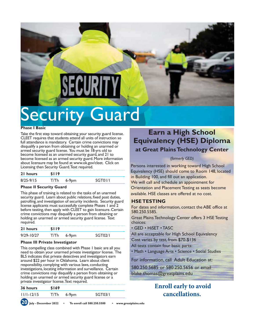

# Security Guard

#### **Phase I Basic**

Take the first step toward obtaining your security guard license. CLEET requires that students attend all units of instruction so full attendance is mandatory. Certain crime convictions may disqualify a person from obtaining or holding an unarmed or armed security guard license. You must be 18-yrs old to become licensed as an unarmed security guard, and 21 to become licensed as an armed security guard. More information about licensure may be found at www.ok.gov/cleet. Click on Licensing then Security Guard. Text required.

| 21 hours      | \$119 |       |         |
|---------------|-------|-------|---------|
| $8/25 - 9/15$ | T/Th  | 6-9pm | SGT01/1 |

#### **Phase II Security Guard**

This phase of training is related to the tasks of an unarmed security guard. Learn about public relations, fixed post duties, patrolling, and investigation of security incidents. Security guard license applicants must successfully complete Phases 1 and 2 before testing, then apply with CLEET to gain licensure. Certain crime convictions may disqualify a person from obtaining or holding an unarmed or armed security guard license. Text required.

| 21 hours       | \$119 |       |         |
|----------------|-------|-------|---------|
| $9/29 - 10/27$ | T/Th  | 6-9pm | SGT02/1 |

#### **Phase III Private Investigator**

This compelling class combined with Phase 1 basic are all you need to obtain your unarmed private investigator license. The BLS indicates that private detectives and investigators earn around \$22 per hour in Oklahoma. Learn about client responsibility, complying with various laws, conducting investigations, locating information and surveillance. Certain crime convictions may disqualify a person from obtaining or holding an unarmed or armed security guard license or a private investigator license. Text required.

| 36 hours     | \$169 |          |                |
|--------------|-------|----------|----------------|
| $11/1-12/15$ |       | $6-9$ pm | <b>SGT03/I</b> |
| 6n           |       |          |                |

### **Earn a High School Equivalency (HSE) Diploma at Great Plains Technology Center**

### *(formerly GED)*

Persons interested in working toward High School Equivalency (HSE) should come to Room 148, located in Building 100, and fill out an application. We will call and schedule an appointment for Orientation and Placement Testing as seats become available. HSE classes are offered at no cost.

### **HSE TESTING**

For dates and information, contact the ABE office at 580.250.5585.

Great Plains Technology Center offers 3 HSE Testing choices:

• GED • HiSET • TASC

All are acceptable for High School Equivalency

Cost varies by test, from \$70-\$136

All tests contain four basic parts:

• Math • Language Arts • Science • Social Studies

For information, call Adult Education at:

580.250.5685 or 580.250.5656 or email

blake.thomas@greatplains.edu

### **Enroll early to avoid cancellations.**

**20 July - December 2022 • To enroll call 580.250.5500 • www.greatplains.edu**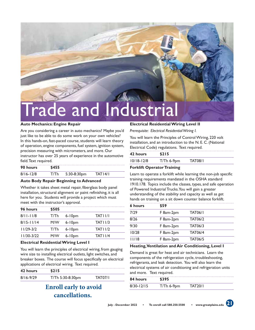

#### **Auto Mechanics: Engine Repair**

Are you considering a career in auto mechanics? Maybe you'd just like to be able to do some work on your own vehicles? In this hands-on, fast-paced course, students will learn theory of operation, engine components, fuel system, ignition system, precision measuring with micrometers, and more. Our

instructor has over 25 years of experience in the automotive field. Text required.

| 90 hours      | \$455 |             |                |
|---------------|-------|-------------|----------------|
| $8/16 - 12/8$ | T/Th  | 5:30-8:30pm | <b>TAT14/1</b> |

#### **Auto Body Repair Beginning to Advanced**

Whether it takes sheet metal repair, fiberglass body panel installation, structural alignment or paint refinishing, it is all here for you. Students will provide a project which must meet with the instructor's approval.

| 96 hours       | \$505 |             |                     |
|----------------|-------|-------------|---------------------|
| $8/11 - 11/8$  | T/Th  | $6 - 10pm$  | TATII/I             |
| $8/15 - 11/14$ | M/W   | $6 - 10$ pm | TAT11/3             |
| $11/29-3/2$    | T/Th  | $6 - 10$ pm | TAT11/2             |
| $11/30-3/22$   | M/W   | $6 - 10$ pm | TATI <sub>1/4</sub> |

#### **Electrical Residential Wiring Level I**

You will learn the principles of electrical wiring, from gauging wire size to installing electrical outlets, light switches, and breaker boxes. The course will focus specifically on electrical applications of electrical wiring. Text required.

| 42 hours      | 5215             |         |
|---------------|------------------|---------|
| $8/16 - 9/29$ | T/Th 5:30-8:30pm | TAT07/I |

### **Enroll early to avoid cancellations.**

### **Electrical Residential Wiring Level II**

*Prerequisite: Electrical Residential Wiring I.* 

You will learn the Principles of Control Wiring, 220 volt installation, and an introduction to the N. E. C. (National Electrical Code) regulations. Text required.

| $10/18 - 12/8$<br><b>TAT08/I</b><br>$T/Th$ 6-9pm | \$215 | 42 hours |
|--------------------------------------------------|-------|----------|
|                                                  |       |          |

### **Forklift Operator Training**

Learn to operate a forklift while learning the non-job specific training requirements mandated in the OSHA standard 1910.178. Topics include the classes, types, and safe operation of Powered Industrial Trucks. You will gain a greater understanding of the stability and capacity as well as get hands on training on a sit down counter balance forklift.

| 6 hours | \$59      |                |  |
|---------|-----------|----------------|--|
| 7/29    | F 8am-2pm | <b>TAT06/I</b> |  |
| 8/26    | F 8am-2pm | <b>TAT06/2</b> |  |
| 9/30    | F 8am-2pm | <b>TAT06/3</b> |  |
| 10/28   | F 8am-2pm | <b>TAT06/4</b> |  |
| 11/18   | F 8am-2pm | <b>TAT06/5</b> |  |

#### **Heating, Ventilation and Air Conditioning, Level I**

Demand is great for heat and air technicians. Learn the components of the refrigeration cycle, troubleshooting, refrigerants, and leak detection. You will also learn the electrical systems of air conditioning and refrigeration units and more. Text required.

| 84 hours       | \$395        |                |  |
|----------------|--------------|----------------|--|
| $8/30 - 12/15$ | $T/Th$ 6-9pm | <b>TAT20/I</b> |  |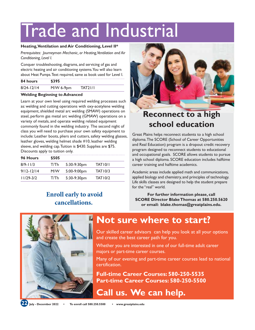# Trade and Industrial

### **Heating, Ventilation and Air Conditioning, Level II\***

*Prerequisites: Journeyman Mechanic, or Heating, Ventilation and Air Conditioning, Level I.*

Conquer troubleshooting, diagrams, and servicing of gas and electric heating and air conditioning systems. You will also learn about Heat Pumps. Text required, same as book used for Level I.

| 84 hours       | \$395       |         |
|----------------|-------------|---------|
| $8/24 - 12/14$ | $M/W$ 6-9pm | TAT21/1 |

### **Welding Beginning to Advanced**

Learn at your own level using required welding processes such as: welding and cutting operations with oxy-acetylene welding equipment, shielded metal arc welding (SMAW) operations on steel, perform gas metal arc welding (GMAW) operations on a variety of metals, and operate welding related equipment commonly found in the welding industry. The second night of class you will need to purchase your own safety equipment to include: Leather boots, pliers and cutters, safety welding glasses, leather gloves, welding helmet shade #10, leather welding sleeve, and welding cap. Tuition is \$430. Supplies are \$75. Discounts apply to tuition only.

| 96 Hours       | \$505 |               |                |  |
|----------------|-------|---------------|----------------|--|
| $8/9 - 11/3$   | T/Th  | $5:30-9:30pm$ | TAT10/I        |  |
| $9/12 - 12/14$ | M/W   | 5:00-9:00pm   | TAT10/3        |  |
| $11/29-3/2$    | T/Th  | 5:30-9:30pm   | <b>TAT10/2</b> |  |

### **Enroll early to avoid cancellations.**



## **Reconnect to a high school education**

Great Plains helps reconnect students to a high school diploma. The SCORE (School of Career Opportunities and Real Education) program is a dropout credit recovery program designed to reconnect students to educational and occupational goals. SCORE allows students to pursue a high school diploma. SCORE education includes halftime career training and halftime academics.

Academic areas include applied math and communications, applied biology and chemistry, and principles of technology. Life skills classes are designed to help the student prepare for the "real" world.

**For further information please, call SCORE Director Blake Thomas at 580.250.5620 or email: blake.thomas@greatplains.edu.**



### **Not sure where to start?**

Our skilled career advisors can help you look at all your options and create the best career path for you.

Whether you are interested in one of our full-time adult career majors or part-time career courses.

Many of our evening and part-time career courses lead to national certification.

**Full-time Career Courses: 580-250-5535 Part-time Career Courses: 580-250-5500** 

**Call us. We can help.**

**22 July - December 2022 • To enroll call 580.250.5500 • www.greatplains.edu**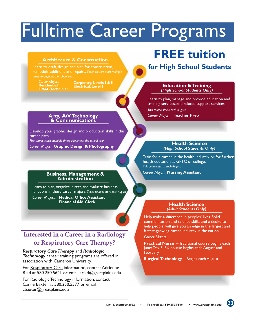# Fulltime Career Programs

### **Architecure & Construction**

Learn to draft, design and plan for construction, remodels, additions and repairs. *These courses start multiple times throughout the school year.*

*Career Majors:* **Residential HVAC Technician**

**Carpentry, Levels I & II Electrical, Level I**

### **Arts, A/V Technology & Communications**

Develop your graphic design and production skills in this career path. *This course starts multiple times throughout the school year.*

*Career Major:* **Graphic Design & Photography**

## **Business, Management & Administration**

Learn to plan, organize, direct, and evaluate business functions in these career majors. *These courses start each August. Career Majors:* **Medical Office Assistant Financial Aid Clerk**

### **Interested in a Career in a Radiology or Respiratory Care Therapy?**

*Respiratory Care Therapy* and *Radiologic Technology* career training programs are offered in association with Cameron University.

For Respiratory Care information, contact Adrienne Reid at 580.250.5641 or email areid@greatplains.edu.

For Radiologic Technology information, contact Carrie Baxter at 580.250.5577 or email cbaxter@greatplains.edu

# **FREE tuition**

### **for High School Students**

### **Education & Training**  *(High School Students Only)*

Learn to plan, manage and provide education and training services, and related support services.

*This course starts each August.*

*Career Major:* **Teacher Prep**

### **Health Science**  *(High School Students Only)*

Train for a career in the health industry or for further health education at GPTC or college. *This course starts each August.*

*Career Major:* **Nursing Assistant**

### **Health Science**  *(Adult Students Only)*

Help make a difference in peoples' lives. Solid communication and science skills, and a desire to help people, will give you an edge in the largest and fastest-growing career industry in the nation.

### *Career Majors:*

**Practical Nurse** – Traditional course begins each June; Day FLEX course begins each August and February.

**Surgical Technology** – Begins each August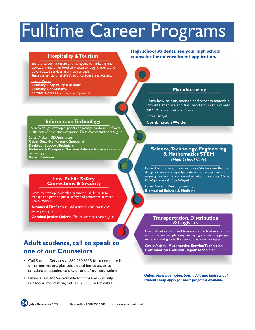# Fulltime Career Programs

### **Hospitality & Tourism**

Explore careers in restaurant management, marketing and operations and other food services; also lodging, events and travel-related services in this career path. *These courses start multiple times throughout the school year.*

*Career Majors:* **Culinary Hospitality Assistant Culinary Coordinator Service Careers** *(admission by special permission)*

### **Information Technology**

Learn to design, develop, support and manage hardware, software, multimedia and systems integration. *These courses start each August.*

*Career Majors:* **3D Animator Cyber Security Forensic Specialist Desktop Support Technician Network & Computer Systems Administrator** – *Adult students only may apply.*  **Video Producer**

### **Law, Public Safety, Corrections & Security**

Learn to develop leadership, teamwork skills; learn to manage and provide public safety and protective services. *Career Majors:*

**Advanced Firefighter** – *Adult students only; starts each January and June.* 

**Criminal Justice Officer –***This course starts each August.*

### **Adult students, call to speak to one of our Counselors**

- Call Student Services at 580.250.5535 for a complete list of career majors, plus tuition and fee costs, or to schedule an appointment with one of our counselors.
- Financial aid and VA available for those who qualify. For more information, call 580.250.5534 for details.

### **High school students, see your high school counselor for an enrollment application.**



### **Manufacturing**

Learn how to plan, manage and process materials into intermediate and final products in this career path. *This course starts each August.*

*Career Major:*

**Combination Welder**

### **Science, Technology, Engineering & Mathematics STEM**  *(High School Only)*

Learn about rockets, robots and more. Students use the latest design software, cutting edge materials and equipment, and ongoing hands-on, project-based activities. *These Project Lead the Way courses start each August.*

*Career Majors:* **Pre-Engineering Biomedical Science & Medicine** 

## **Transportation, Distribution & Logistics**

Learn about careers and businesses involved in a critical economic sector: planning, managing and moving people, materials and goods. *These courses start January and August.*

*Career Majors:* **Automotive Service Technician Combination Collision Repair Technician**

*Unless otherwise noted, both adult and high school students may apply for most programs available.*

**24 July - December 2022 • To enroll call 580.250.5500 • www.greatplains.edu**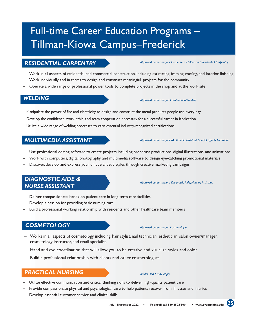# Full-time Career Education Programs – Tillman-Kiowa Campus–Frederick

### *RESIDENTIAL CARPENTRY*

#### *Approved career majors: Carpenter's Helper and Residential Carpentry.*

- Work in all aspects of residential and commercial construction, including estimating, framing, roofing, and interior finishing
- Work individually and in teams to design and construct meaningful projects for the community
- Operate a wide range of professional power tools to complete projects in the shop and at the work site

### *WELDING*

#### *Approved career major: Combination Welding*

- Manipulate the power of fire and electricity to design and construct the metal products people use every day
- Develop the confidence, work ethic, and team cooperation necessary for a successful career in fabrication
- Utilize a wide range of welding processes to earn essential industry-recognized certifications

### *MULTIMEDIA ASSISTANT*

#### *Approved career majors: Multimedia Assistant; Special Effects Technician*

- Use professional editing software to create projects including broadcast productions, digital illustrations, and animations
- Work with computers, digital photography, and multimedia software to design eye-catching promotional materials
- Discover, develop, and express your unique artistic styles through creative marketing campaigns

### *DIAGNOSTIC AIDE & NURSE ASSISTANT*

*Approved career majors: Diagnostic Aide; Nursing Assistant*

- Deliver compassionate, hands-on patient care in long-term care facilities
- Develop a passion for providing basic nursing care
- Build a professional working relationship with residents and other healthcare team members

### *COSMETOLOGY*

*Approved career major: Cosmetologist*

- Works in all aspects of cosmetology including, hair stylist, nail technician, esthetician, salon owner/manager, cosmetology instructor, and retail specialist.
- Hand and eye coordination that will allow you to be creative and visualize styles and color.
- Build a professional relationship with clients and other cosmetologists.

### *PRACTICAL NURSING*

#### *Adults ONLY may apply.*

- Utilize effective communication and critical thinking skills to deliver high-quality patient care
- Provide compassionate physical and psychological care to help patients recover from illnesses and injuries
- Develop essential customer service and clinical skills

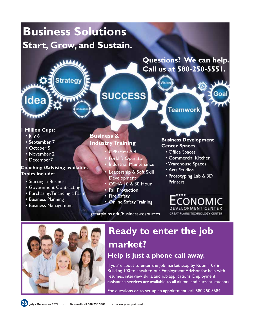# **Business Solutions Start, Grow, and Sustain.**



**Questions? We can help. Call us at 580-250-5551.**

Goa

Vision

### **1 Million Cups:**

- July 6
- September 7
- October 5
- November 2
- December7

### **Coaching /Advising available. Topics include:**

- Starting a Business
- Government Contracting
- Purchasing/Financing a Farm
- Business Planning
- Business Management

### **Business & Industry Training**

• CPR/First Aid

**SUCCESS** 

- Forklift Operator
- **Industrial Maintenance**
- Leadership & Soft Skill **Development**
- OSHA 10 & 30 Hour
- Fall Protection
- Fire Safety
- Online Safety Training

greatplains.edu/business-resources

**Teamwork** 

### **Business Development Center Spaces**

- Office Spaces
- Commercial Kitchen
- Warehouse Spaces
- Arts Studios
- Prototyping Lab & 3D **Printers** 
	- CONON DEVELOPMENT CENTER **GREAT PLAINS TECHNOLOGY CENTER**



# **Ready to enter the job market?**

### **Help is just a phone call away.**

If you're about to enter the job market, stop by Room 107 in Building 100 to speak to our Employment Advisor for help with resumes, interview skills, and job applications. Employment assistance services are available to all alumni and current students.

For questions or to set up an appointment, call 580.250.5684.

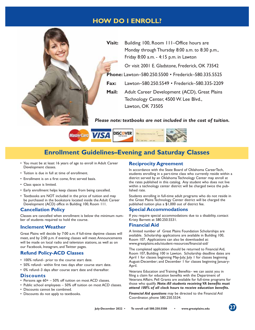### **HOW DO I ENROLL?**





### **Enrollment Guidelines–Evening and Saturday Classes**

- You must be at least 16 years of age to enroll in Adult Career Development classes.
- Tuition is due in full at time of enrollment.
- Enrollment is on a first come, first served basis.
- Class space is limited.
- Early enrollment helps keep classes from being cancelled.
- Textbooks are NOT included in the price of tuition and may be purchased in the bookstore located inside the Adult Career Development (ACD) office in Building 100, Room 111.

### **Cancellation Policy**

Classes are cancelled when enrollment is below the minimum number of students required to hold the course.

### **Inclement Weather**

Great Plains will decide by 7:00 a.m. if full-time daytime classes will meet, and by 2:00 p.m. if evening classes will meet. Announcements will be made on local radio and television stations, as well as on our Facebook, Instagram, and Twitter pages.

### **Refund Policy-ACD Classes**

- 100% refund– prior to the course start date.
- 50% refund– within first two days after course start date.
- 0% refund–3 days after course start date and thereafter.

### **Discounts**

- Persons age 60+ 50% off tuition on most ACD classes.
- Public school employees 50% off tuition on most ACD classes.
- Discounts cannot be combined.
- Discounts do not apply to textbooks.

### **Reciprocity Agreement**

In accordance with the State Board of Oklahoma CareerTech, students enrolling in a part-time class who currently reside within a district served by an Oklahoma Technology Center may enroll at the rates published in this catalog. Any student who does not live within a technology center district will be charged twice the published rate.

Students enrolling in full-time adult programs who do not reside in the Great Plains Technology Center district will be charged the published tuition plus a \$1,000 out of district fee.

### **Special Accommodations**

If you require special accommodations due to a disability, contact Kristy Barnett at 580.250.5531.

### **Financial Aid**

A limited number of Great Plains Foundation Scholarships are available. Scholarship applications are available in Building 100, Room 107. Applications can also be downloaded at: www.greatplains.edu/student-resources/financial-aid/

The completed application should be returned to Financial Aid, Room 107, Building 100 in Lawton. Scholarship deadline dates are April 1 for classes beginning May-July; July 1 for classes beginning August-December; and December 1 for classes beginning January-April.

Veterans Education and Training Benefits– we can assist you in filing a claim for education benefits with the Department of Veterans Affairs. Pell Grants are available for full-time programs for those who qualify. *Note: All students receiving VA benefits must attend 100% of all clock hours to receive education benefits.* 

*Financial Aid questions* may be directed to the Financial Aid Coordinator, phone 580.250.5534.